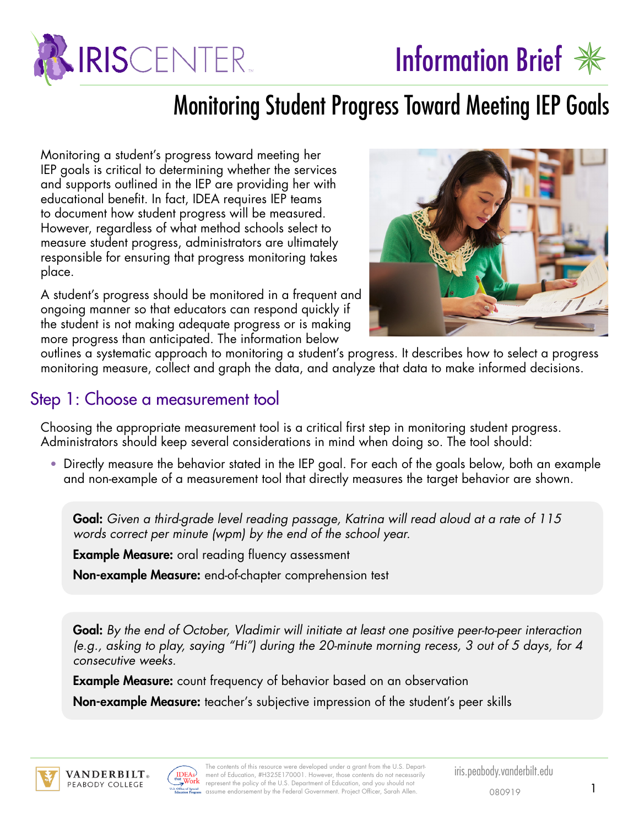

# Monitoring Student Progress Toward Meeting IEP Goals

Monitoring a student's progress toward meeting her IEP goals is critical to determining whether the services and supports outlined in the IEP are providing her with educational benefit. In fact, IDEA requires IEP teams to document how student progress will be measured. However, regardless of what method schools select to measure student progress, administrators are ultimately responsible for ensuring that progress monitoring takes place.

A student's progress should be monitored in a frequent and ongoing manner so that educators can respond quickly if the student is not making adequate progress or is making more progress than anticipated. The information below



outlines a systematic approach to monitoring a student's progress. It describes how to select a progress monitoring measure, collect and graph the data, and analyze that data to make informed decisions.

#### Step 1: Choose a measurement tool

Choosing the appropriate measurement tool is a critical first step in monitoring student progress. Administrators should keep several considerations in mind when doing so. The tool should:

• Directly measure the behavior stated in the IEP goal. For each of the goals below, both an example and non-example of a measurement tool that directly measures the target behavior are shown.

Goal: *Given a third-grade level reading passage, Katrina will read aloud at a rate of 115 words correct per minute (wpm) by the end of the school year.*

**Example Measure:** oral reading fluency assessment

Non-example Measure: end-of-chapter comprehension test

Goal: By the end of October, Vladimir will initiate at least one positive peer-to-peer interaction *(e.g., asking to play, saying "Hi") during the 20-minute morning recess, 3 out of 5 days, for 4 consecutive weeks.*

**Example Measure:** count frequency of behavior based on an observation

Non-example Measure: teacher's subjective impression of the student's peer skills



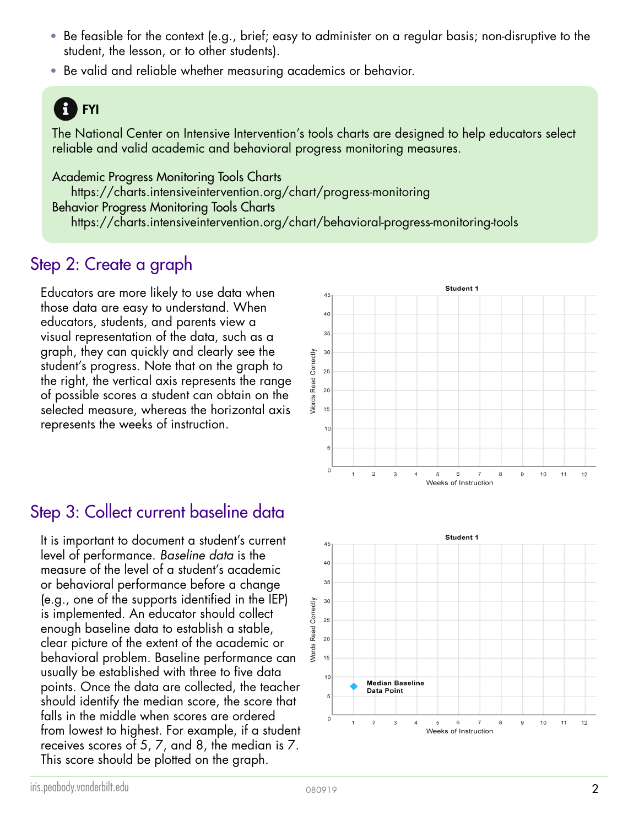- Be feasible for the context (e.g., brief; easy to administer on a regular basis; non-disruptive to the student, the lesson, or to other students).
- Be valid and reliable whether measuring academics or behavior.

# FYI

The National Center on Intensive Intervention's tools charts are designed to help educators select reliable and valid academic and behavioral progress monitoring measures.

> 45 40 35

Academic Progress Monitoring Tools Charts https://charts.intensiveintervention.org/chart/progress-monitoring Behavior Progress Monitoring Tools Charts https://charts.intensiveintervention.org/chart/behavioral-progress-monitoring-tools

# Step 2: Create a graph

Educators are more likely to use data when those data are easy to understand. When educators, students, and parents view a visual representation of the data, such as a graph, they can quickly and clearly see the student's progress. Note that on the graph to the right, the vertical axis represents the range of possible scores a student can obtain on the selected measure, whereas the horizontal axis represents the weeks of instruction.

# Step 3: Collect current baseline data

It is important to document a student's current level of performance. *Baseline data* is the measure of the level of a student's academic or behavioral performance before a change (e.g., one of the supports identified in the IEP) is implemented. An educator should collect enough baseline data to establish a stable, clear picture of the extent of the academic or behavioral problem. Baseline performance can usually be established with three to five data points. Once the data are collected, the teacher should identify the median score, the score that falls in the middle when scores are ordered from lowest to highest. For example, if a student receives scores of 5, 7, and 8, the median is 7. This score should be plotted on the graph.



 $6\phantom{1}6$ 

Weeks of Instruction

5

 $\overline{7}$ 8  $\mathbf{g}$ 

 $11$ 

 $12$ 

 $10$ 

Student 1

 $10$ 

 $\overline{5}$ 

 $\mathbf{0}$ 

**Median Baseline** Data Point

 $\overline{3}$ 

 $\overline{4}$ 

 $\overline{2}$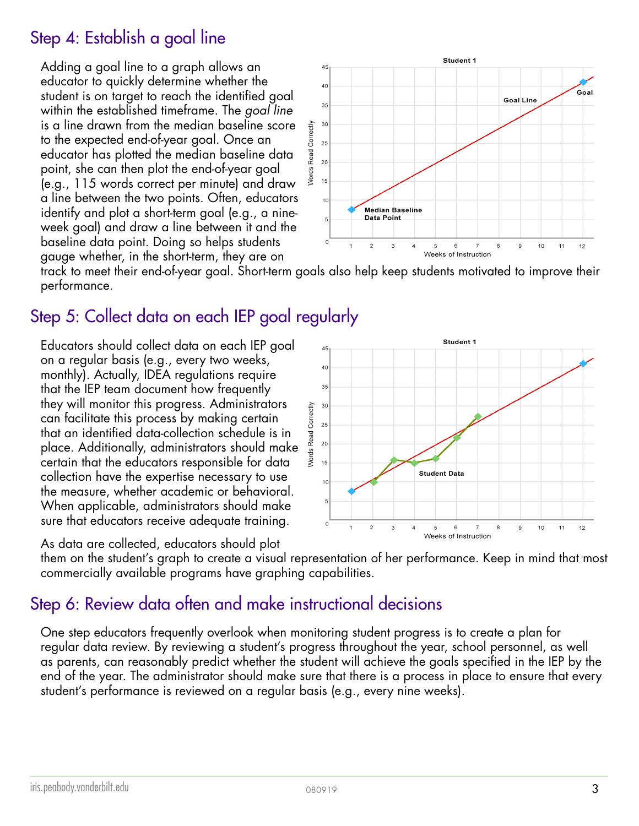### Step 4: Establish a goal line

Adding a goal line to a graph allows an educator to quickly determine whether the student is on target to reach the identified goal within the established timeframe. The *goal line* is a line drawn from the median baseline score to the expected end-of-year goal. Once an educator has plotted the median baseline data point, she can then plot the end-of-year goal (e.g., 115 words correct per minute) and draw a line between the two points. Often, educators identify and plot a short-term goal (e.g., a nineweek goal) and draw a line between it and the baseline data point. Doing so helps students gauge whether, in the short-term, they are on



track to meet their end-of-year goal. Short-term goals also help keep students motivated to improve their performance.

# Step 5: Collect data on each IEP goal regularly

Educators should collect data on each IEP goal on a regular basis (e.g., every two weeks, monthly). Actually, IDEA regulations require that the IEP team document how frequently they will monitor this progress. Administrators can facilitate this process by making certain that an identified data-collection schedule is in place. Additionally, administrators should make certain that the educators responsible for data collection have the expertise necessary to use the measure, whether academic or behavioral. When applicable, administrators should make sure that educators receive adequate training.



As data are collected, educators should plot

them on the student's graph to create a visual representation of her performance. Keep in mind that most commercially available programs have graphing capabilities.

### Step 6: Review data often and make instructional decisions

One step educators frequently overlook when monitoring student progress is to create a plan for regular data review. By reviewing a student's progress throughout the year, school personnel, as well as parents, can reasonably predict whether the student will achieve the goals specified in the IEP by the end of the year. The administrator should make sure that there is a process in place to ensure that every student's performance is reviewed on a regular basis (e.g., every nine weeks).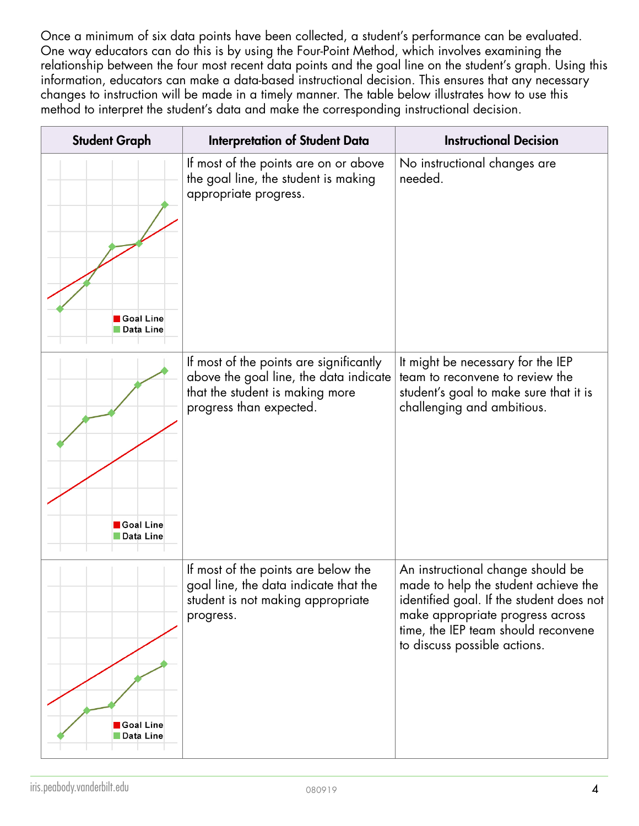Once a minimum of six data points have been collected, a student's performance can be evaluated. One way educators can do this is by using the Four-Point Method, which involves examining the relationship between the four most recent data points and the goal line on the student's graph. Using this information, educators can make a data-based instructional decision. This ensures that any necessary changes to instruction will be made in a timely manner. The table below illustrates how to use this method to interpret the student's data and make the corresponding instructional decision.

| <b>Student Graph</b>   | <b>Interpretation of Student Data</b>                                                                                                           | <b>Instructional Decision</b>                                                                                                                                                                                                    |
|------------------------|-------------------------------------------------------------------------------------------------------------------------------------------------|----------------------------------------------------------------------------------------------------------------------------------------------------------------------------------------------------------------------------------|
| Goal Line<br>Data Line | If most of the points are on or above<br>the goal line, the student is making<br>appropriate progress.                                          | No instructional changes are<br>needed.                                                                                                                                                                                          |
| Goal Line<br>Data Line | If most of the points are significantly<br>above the goal line, the data indicate<br>that the student is making more<br>progress than expected. | It might be necessary for the IEP<br>team to reconvene to review the<br>student's goal to make sure that it is<br>challenging and ambitious.                                                                                     |
| Goal Line<br>Data Line | If most of the points are below the<br>goal line, the data indicate that the<br>student is not making appropriate<br>progress.                  | An instructional change should be<br>made to help the student achieve the<br>identified goal. If the student does not<br>make appropriate progress across<br>time, the IEP team should reconvene<br>to discuss possible actions. |